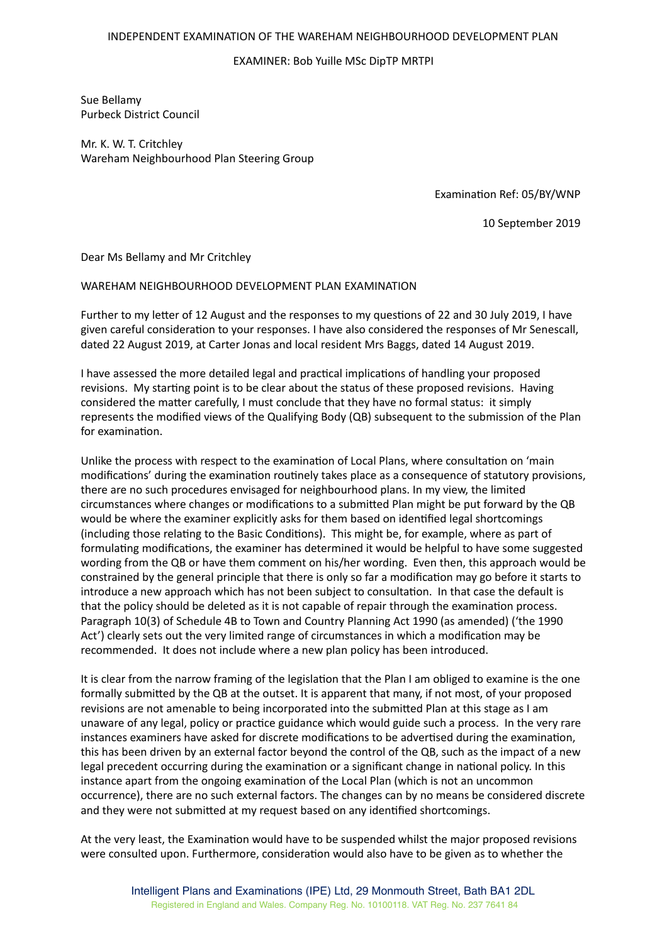## INDEPENDENT EXAMINATION OF THE WAREHAM NEIGHBOURHOOD DEVELOPMENT PLAN

## EXAMINER: Bob Yuille MSc DipTP MRTPI

Sue Bellamy Purbeck District Council

Mr. K. W. T. Critchley Wareham Neighbourhood Plan Steering Group

Examination Ref: 05/BY/WNP

10 September 2019

Dear Ms Bellamy and Mr Critchley

## WAREHAM NEIGHBOURHOOD DEVELOPMENT PLAN EXAMINATION

Further to my letter of 12 August and the responses to my questions of 22 and 30 July 2019, I have given careful consideration to your responses. I have also considered the responses of Mr Senescall, dated 22 August 2019, at Carter Jonas and local resident Mrs Baggs, dated 14 August 2019.

I have assessed the more detailed legal and practical implications of handling your proposed revisions. My starting point is to be clear about the status of these proposed revisions. Having considered the matter carefully, I must conclude that they have no formal status: it simply represents the modified views of the Qualifying Body (QB) subsequent to the submission of the Plan for examination.

Unlike the process with respect to the examination of Local Plans, where consultation on 'main modifications' during the examination routinely takes place as a consequence of statutory provisions, there are no such procedures envisaged for neighbourhood plans. In my view, the limited circumstances where changes or modifications to a submitted Plan might be put forward by the QB would be where the examiner explicitly asks for them based on identified legal shortcomings (including those relating to the Basic Conditions). This might be, for example, where as part of formulating modifications, the examiner has determined it would be helpful to have some suggested wording from the QB or have them comment on his/her wording. Even then, this approach would be constrained by the general principle that there is only so far a modification may go before it starts to introduce a new approach which has not been subject to consultation. In that case the default is that the policy should be deleted as it is not capable of repair through the examination process. Paragraph 10(3) of Schedule 4B to Town and Country Planning Act 1990 (as amended) ('the 1990 Act') clearly sets out the very limited range of circumstances in which a modification may be recommended. It does not include where a new plan policy has been introduced.

It is clear from the narrow framing of the legislation that the Plan I am obliged to examine is the one formally submitted by the QB at the outset. It is apparent that many, if not most, of your proposed revisions are not amenable to being incorporated into the submitted Plan at this stage as I am unaware of any legal, policy or practice guidance which would guide such a process. In the very rare instances examiners have asked for discrete modifications to be advertised during the examination, this has been driven by an external factor beyond the control of the QB, such as the impact of a new legal precedent occurring during the examination or a significant change in national policy. In this instance apart from the ongoing examination of the Local Plan (which is not an uncommon occurrence), there are no such external factors. The changes can by no means be considered discrete and they were not submitted at my request based on any identified shortcomings.

At the very least, the Examination would have to be suspended whilst the major proposed revisions were consulted upon. Furthermore, consideration would also have to be given as to whether the